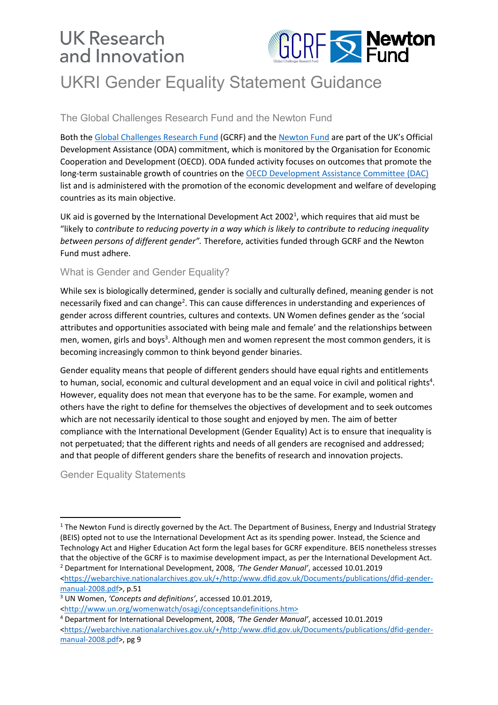# **UK Research** and Innovation



# UKRI Gender Equality Statement Guidance

### The Global Challenges Research Fund and the Newton Fund

Both the [Global Challenges Research Fund](https://www.gov.uk/government/publications/global-challenges-research-fund/global-challenges-research-fund-gcrf-how-the-fund-works) (GCRF) and the [Newton Fund](https://www.gov.uk/government/publications/newton-fund-building-science-and-innovation-capacity-in-developing-countries/newton-fund-building-science-and-innovation-capacity-in-developing-countries) are part of the UK's Official Development Assistance (ODA) commitment, which is monitored by the Organisation for Economic Cooperation and Development (OECD). ODA funded activity focuses on outcomes that promote the long-term sustainable growth of countries on the [OECD Development Assistance Committee \(DAC\)](http://www.oecd.org/dac/financing-sustainable-development/development-finance-standards/DAC_List_ODA_Recipients2018to2020_flows_En.pdf) list and is administered with the promotion of the economic development and welfare of developing countries as its main objective.

UK aid is governed by the International Development Act 2002<sup>1</sup>, which requires that aid must be "likely to *contribute to reducing poverty in a way which is likely to contribute to reducing inequality between persons of different gender".* Therefore, activities funded through GCRF and the Newton Fund must adhere.

### What is Gender and Gender Equality?

While sex is biologically determined, gender is socially and culturally defined, meaning gender is not necessarily fixed and can change<sup>2</sup>. This can cause differences in understanding and experiences of gender across different countries, cultures and contexts. UN Women defines gender as the 'social attributes and opportunities associated with being male and female' and the relationships between men, women, girls and boys<sup>3</sup>. Although men and women represent the most common genders, it is becoming increasingly common to think beyond gender binaries.

Gender equality means that people of different genders should have equal rights and entitlements to human, social, economic and cultural development and an equal voice in civil and political rights<sup>4</sup>. However, equality does not mean that everyone has to be the same. For example, women and others have the right to define for themselves the objectives of development and to seek outcomes which are not necessarily identical to those sought and enjoyed by men. The aim of better compliance with the International Development (Gender Equality) Act is to ensure that inequality is not perpetuated; that the different rights and needs of all genders are recognised and addressed; and that people of different genders share the benefits of research and innovation projects.

Gender Equality Statements

 $\overline{a}$ 

<https://webarchive.nationalarchives.gov.uk/+/http:/www.dfid.gov.uk/Documents/publications/dfid-gendermanual-2008.pdf>, p.51

<sup>3</sup> UN Women, *'Concepts and definitions'*, accessed 10.01.2019,

<http://www.un.org/womenwatch/osagi/conceptsandefinitions.htm>

 $1$  The Newton Fund is directly governed by the Act. The Department of Business, Energy and Industrial Strategy (BEIS) opted not to use the International Development Act as its spending power. Instead, the Science and Technology Act and Higher Education Act form the legal bases for GCRF expenditure. BEIS nonetheless stresses that the objective of the GCRF is to maximise development impact, as per the International Development Act. <sup>2</sup> Department for International Development, 2008, *'The Gender Manual'*, accessed 10.01.2019

<sup>4</sup> Department for International Development, 2008, *'The Gender Manual'*, accessed 10.01.2019

<sup>&</sup>lt;https://webarchive.nationalarchives.gov.uk/+/http:/www.dfid.gov.uk/Documents/publications/dfid-gendermanual-2008.pdf>, pg 9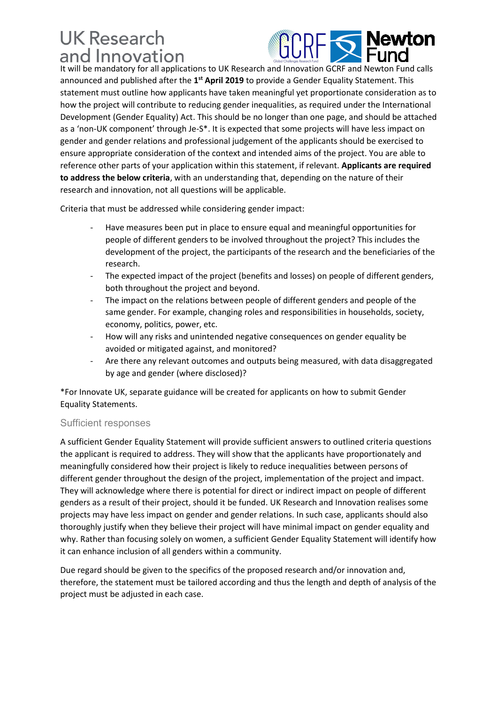## **UK Research** and Innovation



It will be mandatory for all applications to UK Research and Innovation GCRF and Newton Fund calls announced and published after the 1<sup>st</sup> April 2019 to provide a Gender Equality Statement. This statement must outline how applicants have taken meaningful yet proportionate consideration as to how the project will contribute to reducing gender inequalities, as required under the International Development (Gender Equality) Act. This should be no longer than one page, and should be attached as a 'non-UK component' through Je-S\*. It is expected that some projects will have less impact on gender and gender relations and professional judgement of the applicants should be exercised to ensure appropriate consideration of the context and intended aims of the project. You are able to reference other parts of your application within this statement, if relevant. **Applicants are required to address the below criteria**, with an understanding that, depending on the nature of their research and innovation, not all questions will be applicable.

Criteria that must be addressed while considering gender impact:

- Have measures been put in place to ensure equal and meaningful opportunities for people of different genders to be involved throughout the project? This includes the development of the project, the participants of the research and the beneficiaries of the research.
- The expected impact of the project (benefits and losses) on people of different genders, both throughout the project and beyond.
- The impact on the relations between people of different genders and people of the same gender. For example, changing roles and responsibilities in households, society, economy, politics, power, etc.
- How will any risks and unintended negative consequences on gender equality be avoided or mitigated against, and monitored?
- Are there any relevant outcomes and outputs being measured, with data disaggregated by age and gender (where disclosed)?

\*For Innovate UK, separate guidance will be created for applicants on how to submit Gender Equality Statements.

### Sufficient responses

A sufficient Gender Equality Statement will provide sufficient answers to outlined criteria questions the applicant is required to address. They will show that the applicants have proportionately and meaningfully considered how their project is likely to reduce inequalities between persons of different gender throughout the design of the project, implementation of the project and impact. They will acknowledge where there is potential for direct or indirect impact on people of different genders as a result of their project, should it be funded. UK Research and Innovation realises some projects may have less impact on gender and gender relations. In such case, applicants should also thoroughly justify when they believe their project will have minimal impact on gender equality and why. Rather than focusing solely on women, a sufficient Gender Equality Statement will identify how it can enhance inclusion of all genders within a community.

Due regard should be given to the specifics of the proposed research and/or innovation and, therefore, the statement must be tailored according and thus the length and depth of analysis of the project must be adjusted in each case.